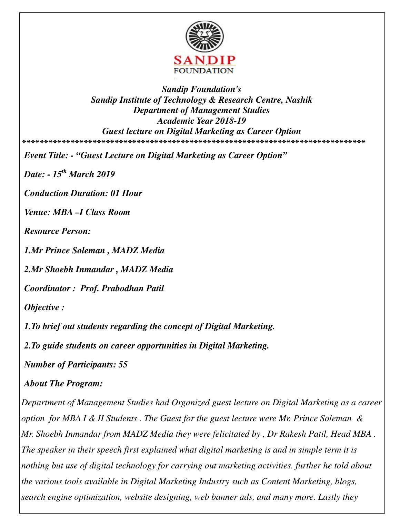

*Sandip Foundation's Sandip Institute of Technology & Research Centre, Nashik Department of Management Studies Academic Year 2018-19 Guest lecture on Digital Marketing as Career Option*  **\*\*\*\*\*\*\*\*\*\*\*\*\*\*\*\*\*\*\*\*\*\*\*\*\*\*\*\*\*\*\*\*\*\*\*\*\*\*\*\*\*\*\*\*\*\*\*\*\*\*\*\*\*\*\*\*\*\*\*\*\*\*\*\*\*\*\*\*\*\*\*\*\*\*\*\*\*\*** 

*Event Title: - "Guest Lecture on Digital Marketing as Career Option"* 

*Date: - 15th March 2019* 

*Conduction Duration: 01 Hour* 

*Venue: MBA –I Class Room* 

*Resource Person:* 

*1.Mr Prince Soleman , MADZ Media* 

*2.Mr Shoebh Inmandar , MADZ Media* 

*Coordinator : Prof. Prabodhan Patil* 

*Objective :* 

*1.To brief out students regarding the concept of Digital Marketing.* 

*2.To guide students on career opportunities in Digital Marketing.* 

*Number of Participants: 55* 

## *About The Program:*

*Department of Management Studies had Organized guest lecture on Digital Marketing as a career option for MBA I & II Students . The Guest for the guest lecture were Mr. Prince Soleman & Mr. Shoebh Inmandar from MADZ Media they were felicitated by , Dr Rakesh Patil, Head MBA . The speaker in their speech first explained what digital marketing is and in simple term it is nothing but use of digital technology for carrying out marketing activities. further he told about the various tools available in Digital Marketing Industry such as Content Marketing, blogs, search engine optimization, website designing, web banner ads, and many more. Lastly they*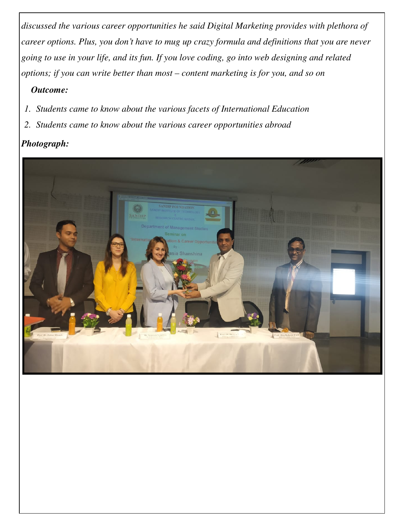*discussed the various career opportunities he said Digital Marketing provides with plethora of career options. Plus, you don't have to mug up crazy formula and definitions that you are never going to use in your life, and its fun. If you love coding, go into web designing and related options; if you can write better than most – content marketing is for you, and so on Outcome:* 

- *1. Students came to know about the various facets of International Education*
- *2. Students came to know about the various career opportunities abroad*

## *Photograph:*

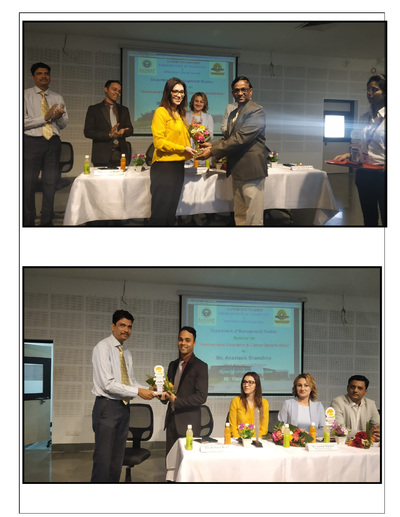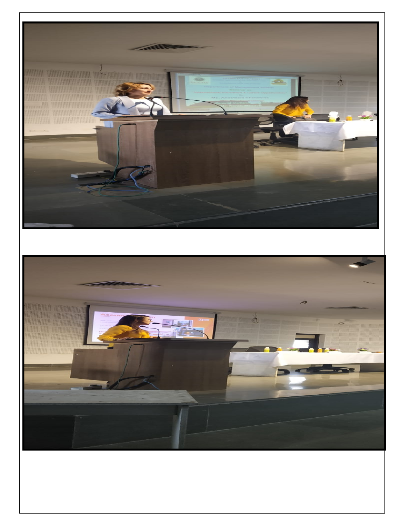